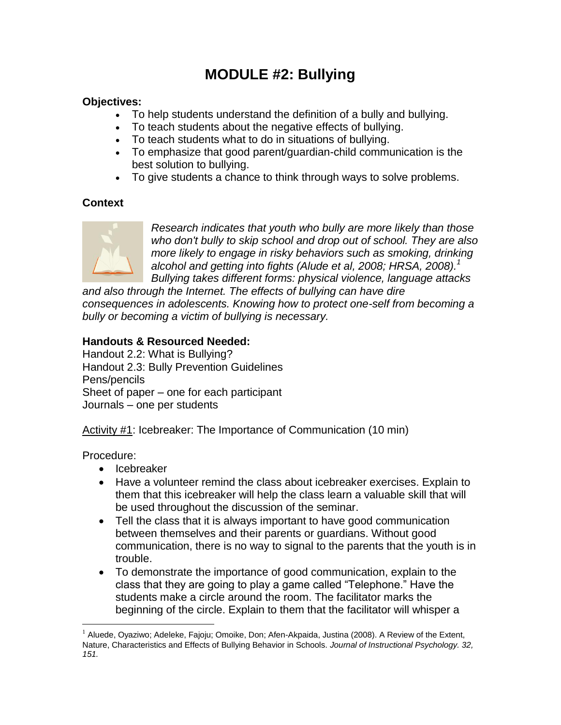# **MODULE #2: Bullying**

#### **Objectives:**

- To help students understand the definition of a bully and bullying.
- To teach students about the negative effects of bullying.
- To teach students what to do in situations of bullying.
- To emphasize that good parent/guardian-child communication is the best solution to bullying.
- To give students a chance to think through ways to solve problems.

## **Context**



*Research indicates that youth who bully are more likely than those who don't bully to skip school and drop out of school. They are also more likely to engage in risky behaviors such as smoking, drinking alcohol and getting into fights (Alude et al, 2008; HRSA, 2008).<sup>1</sup> Bullying takes different forms: physical violence, language attacks* 

*and also through the Internet. The effects of bullying can have dire consequences in adolescents. Knowing how to protect one-self from becoming a bully or becoming a victim of bullying is necessary.*

### **Handouts & Resourced Needed:**

Handout 2.2: What is Bullying? Handout 2.3: Bully Prevention Guidelines Pens/pencils Sheet of paper – one for each participant Journals – one per students

Activity #1: Icebreaker: The Importance of Communication (10 min)

Procedure:

1

- Icebreaker
- Have a volunteer remind the class about icebreaker exercises. Explain to them that this icebreaker will help the class learn a valuable skill that will be used throughout the discussion of the seminar.
- Tell the class that it is always important to have good communication between themselves and their parents or guardians. Without good communication, there is no way to signal to the parents that the youth is in trouble.
- To demonstrate the importance of good communication, explain to the class that they are going to play a game called "Telephone." Have the students make a circle around the room. The facilitator marks the beginning of the circle. Explain to them that the facilitator will whisper a

 $1$  Aluede, Oyaziwo; Adeleke, Fajoju; Omoike, Don; Afen-Akpaida, Justina (2008). A Review of the Extent, Nature, Characteristics and Effects of Bullying Behavior in Schools. *Journal of Instructional Psychology. 32, 151.*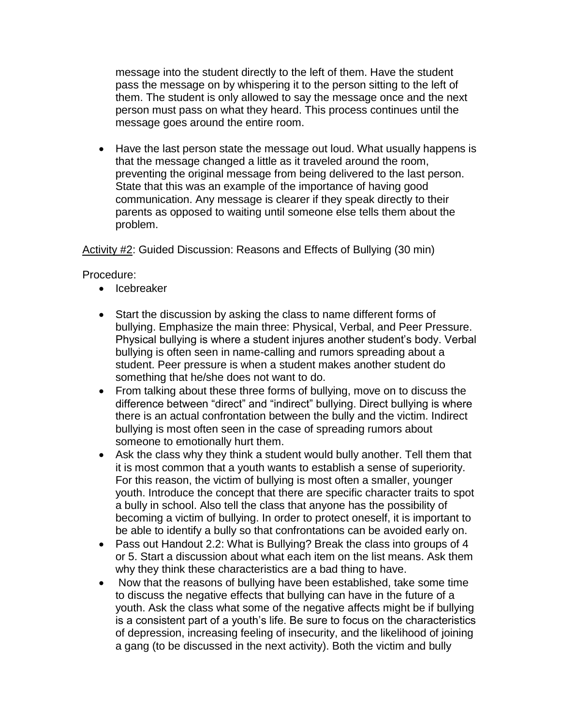message into the student directly to the left of them. Have the student pass the message on by whispering it to the person sitting to the left of them. The student is only allowed to say the message once and the next person must pass on what they heard. This process continues until the message goes around the entire room.

• Have the last person state the message out loud. What usually happens is that the message changed a little as it traveled around the room, preventing the original message from being delivered to the last person. State that this was an example of the importance of having good communication. Any message is clearer if they speak directly to their parents as opposed to waiting until someone else tells them about the problem.

Activity #2: Guided Discussion: Reasons and Effects of Bullying (30 min)

Procedure:

- Icebreaker
- Start the discussion by asking the class to name different forms of bullying. Emphasize the main three: Physical, Verbal, and Peer Pressure. Physical bullying is where a student injures another student"s body. Verbal bullying is often seen in name-calling and rumors spreading about a student. Peer pressure is when a student makes another student do something that he/she does not want to do.
- From talking about these three forms of bullying, move on to discuss the difference between "direct" and "indirect" bullying. Direct bullying is where there is an actual confrontation between the bully and the victim. Indirect bullying is most often seen in the case of spreading rumors about someone to emotionally hurt them.
- Ask the class why they think a student would bully another. Tell them that it is most common that a youth wants to establish a sense of superiority. For this reason, the victim of bullying is most often a smaller, younger youth. Introduce the concept that there are specific character traits to spot a bully in school. Also tell the class that anyone has the possibility of becoming a victim of bullying. In order to protect oneself, it is important to be able to identify a bully so that confrontations can be avoided early on.
- Pass out Handout 2.2: What is Bullying? Break the class into groups of 4 or 5. Start a discussion about what each item on the list means. Ask them why they think these characteristics are a bad thing to have.
- Now that the reasons of bullying have been established, take some time to discuss the negative effects that bullying can have in the future of a youth. Ask the class what some of the negative affects might be if bullying is a consistent part of a youth's life. Be sure to focus on the characteristics of depression, increasing feeling of insecurity, and the likelihood of joining a gang (to be discussed in the next activity). Both the victim and bully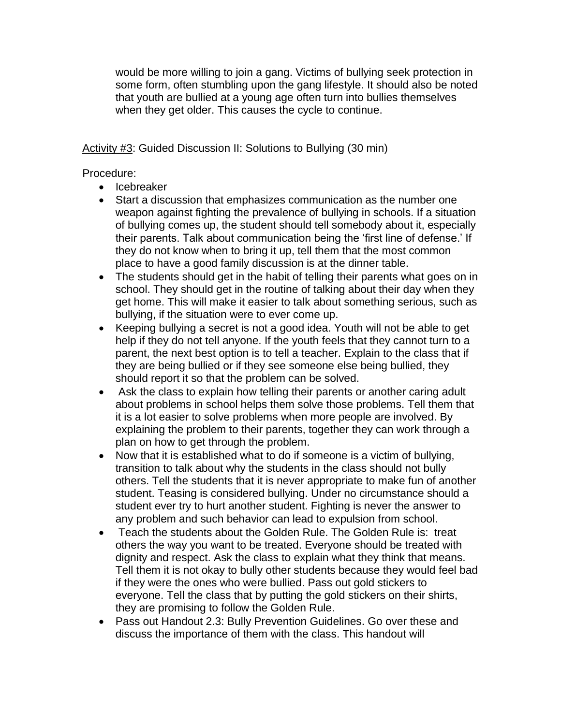would be more willing to join a gang. Victims of bullying seek protection in some form, often stumbling upon the gang lifestyle. It should also be noted that youth are bullied at a young age often turn into bullies themselves when they get older. This causes the cycle to continue.

Activity #3: Guided Discussion II: Solutions to Bullying (30 min)

Procedure:

- Icebreaker
- Start a discussion that emphasizes communication as the number one weapon against fighting the prevalence of bullying in schools. If a situation of bullying comes up, the student should tell somebody about it, especially their parents. Talk about communication being the "first line of defense." If they do not know when to bring it up, tell them that the most common place to have a good family discussion is at the dinner table.
- The students should get in the habit of telling their parents what goes on in school. They should get in the routine of talking about their day when they get home. This will make it easier to talk about something serious, such as bullying, if the situation were to ever come up.
- Keeping bullying a secret is not a good idea. Youth will not be able to get help if they do not tell anyone. If the youth feels that they cannot turn to a parent, the next best option is to tell a teacher. Explain to the class that if they are being bullied or if they see someone else being bullied, they should report it so that the problem can be solved.
- Ask the class to explain how telling their parents or another caring adult about problems in school helps them solve those problems. Tell them that it is a lot easier to solve problems when more people are involved. By explaining the problem to their parents, together they can work through a plan on how to get through the problem.
- Now that it is established what to do if someone is a victim of bullying, transition to talk about why the students in the class should not bully others. Tell the students that it is never appropriate to make fun of another student. Teasing is considered bullying. Under no circumstance should a student ever try to hurt another student. Fighting is never the answer to any problem and such behavior can lead to expulsion from school.
- Teach the students about the Golden Rule. The Golden Rule is: treat others the way you want to be treated. Everyone should be treated with dignity and respect. Ask the class to explain what they think that means. Tell them it is not okay to bully other students because they would feel bad if they were the ones who were bullied. Pass out gold stickers to everyone. Tell the class that by putting the gold stickers on their shirts, they are promising to follow the Golden Rule.
- Pass out Handout 2.3: Bully Prevention Guidelines. Go over these and discuss the importance of them with the class. This handout will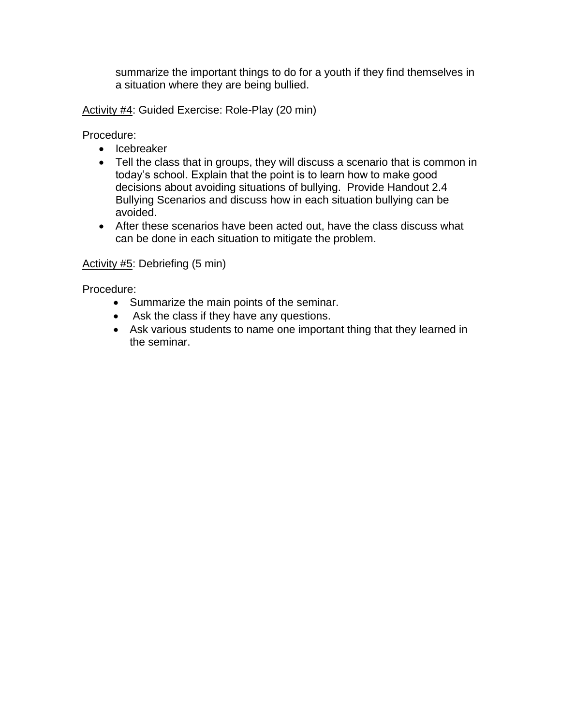summarize the important things to do for a youth if they find themselves in a situation where they are being bullied.

Activity #4: Guided Exercise: Role-Play (20 min)

Procedure:

- Icebreaker
- Tell the class that in groups, they will discuss a scenario that is common in today"s school. Explain that the point is to learn how to make good decisions about avoiding situations of bullying. Provide Handout 2.4 Bullying Scenarios and discuss how in each situation bullying can be avoided.
- After these scenarios have been acted out, have the class discuss what can be done in each situation to mitigate the problem.

#### Activity #5: Debriefing (5 min)

Procedure:

- Summarize the main points of the seminar.
- Ask the class if they have any questions.
- Ask various students to name one important thing that they learned in the seminar.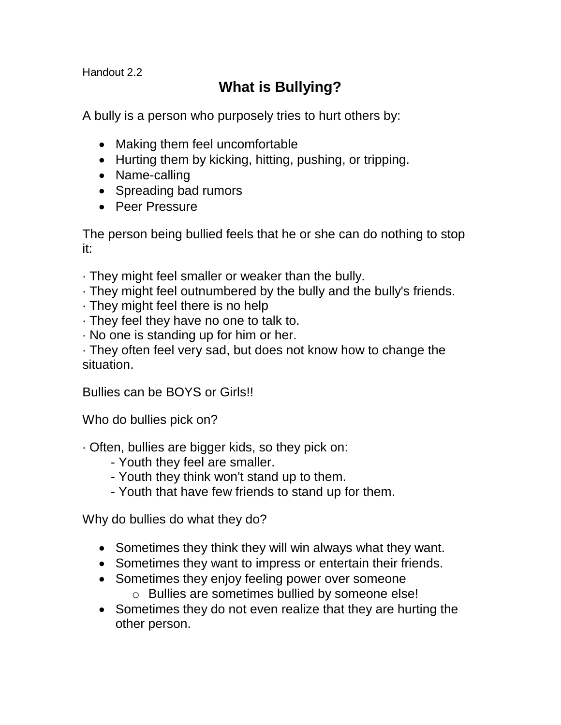Handout 2.2

# **What is Bullying?**

A bully is a person who purposely tries to hurt others by:

- Making them feel uncomfortable
- Hurting them by kicking, hitting, pushing, or tripping.
- Name-calling
- Spreading bad rumors
- Peer Pressure

The person being bullied feels that he or she can do nothing to stop it:

- · They might feel smaller or weaker than the bully.
- · They might feel outnumbered by the bully and the bully's friends.
- · They might feel there is no help
- · They feel they have no one to talk to.
- · No one is standing up for him or her.

· They often feel very sad, but does not know how to change the situation.

Bullies can be BOYS or Girls!!

Who do bullies pick on?

- · Often, bullies are bigger kids, so they pick on:
	- Youth they feel are smaller.
	- Youth they think won't stand up to them.
	- Youth that have few friends to stand up for them.

Why do bullies do what they do?

- Sometimes they think they will win always what they want.
- Sometimes they want to impress or entertain their friends.
- Sometimes they enjoy feeling power over someone
	- o Bullies are sometimes bullied by someone else!
- Sometimes they do not even realize that they are hurting the other person.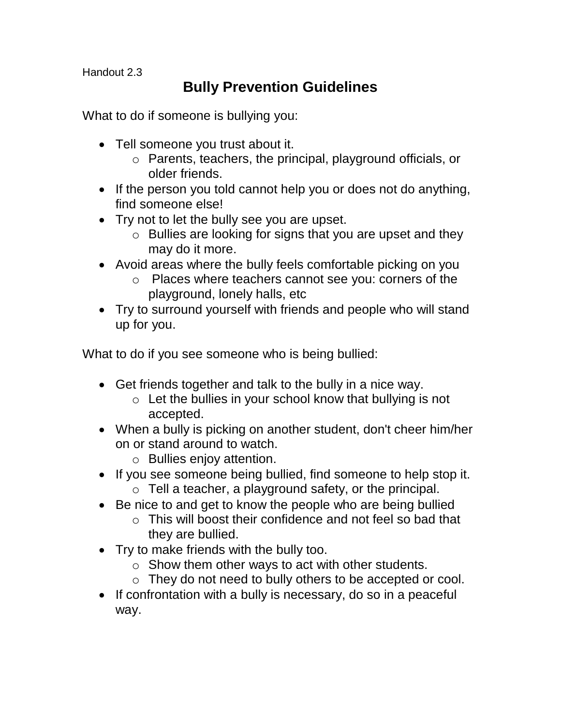Handout 2.3

# **Bully Prevention Guidelines**

What to do if someone is bullying you:

- Tell someone you trust about it.
	- o Parents, teachers, the principal, playground officials, or older friends.
- If the person you told cannot help you or does not do anything, find someone else!
- Try not to let the bully see you are upset.
	- o Bullies are looking for signs that you are upset and they may do it more.
- Avoid areas where the bully feels comfortable picking on you
	- o Places where teachers cannot see you: corners of the playground, lonely halls, etc
- Try to surround yourself with friends and people who will stand up for you.

What to do if you see someone who is being bullied:

- Get friends together and talk to the bully in a nice way.
	- $\circ$  Let the bullies in your school know that bullying is not accepted.
- When a bully is picking on another student, don't cheer him/her on or stand around to watch.
	- o Bullies enjoy attention.
- If you see someone being bullied, find someone to help stop it.
	- o Tell a teacher, a playground safety, or the principal.
- Be nice to and get to know the people who are being bullied
	- $\circ$  This will boost their confidence and not feel so bad that they are bullied.
- Try to make friends with the bully too.
	- $\circ$  Show them other ways to act with other students.
	- o They do not need to bully others to be accepted or cool.
- If confrontation with a bully is necessary, do so in a peaceful way.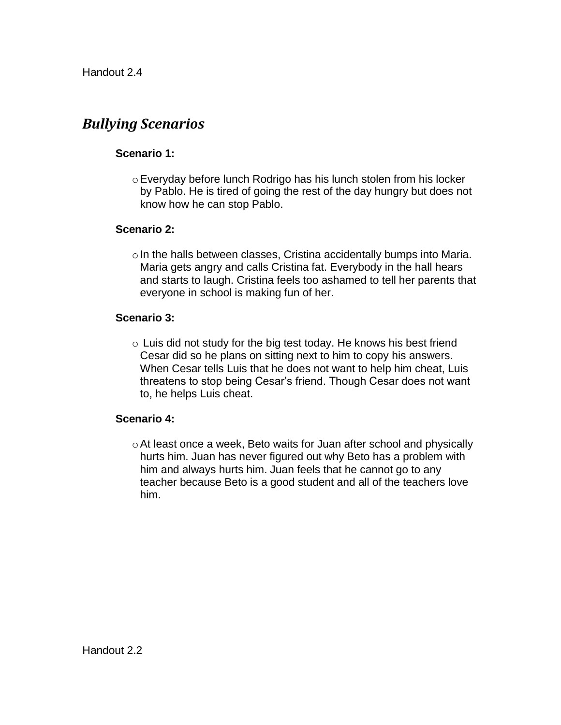# *Bullying Scenarios*

### **Scenario 1:**

oEveryday before lunch Rodrigo has his lunch stolen from his locker by Pablo. He is tired of going the rest of the day hungry but does not know how he can stop Pablo.

#### **Scenario 2:**

 $\circ$  In the halls between classes, Cristina accidentally bumps into Maria. Maria gets angry and calls Cristina fat. Everybody in the hall hears and starts to laugh. Cristina feels too ashamed to tell her parents that everyone in school is making fun of her.

### **Scenario 3:**

 $\circ$  Luis did not study for the big test today. He knows his best friend Cesar did so he plans on sitting next to him to copy his answers. When Cesar tells Luis that he does not want to help him cheat, Luis threatens to stop being Cesar"s friend. Though Cesar does not want to, he helps Luis cheat.

#### **Scenario 4:**

oAt least once a week, Beto waits for Juan after school and physically hurts him. Juan has never figured out why Beto has a problem with him and always hurts him. Juan feels that he cannot go to any teacher because Beto is a good student and all of the teachers love him.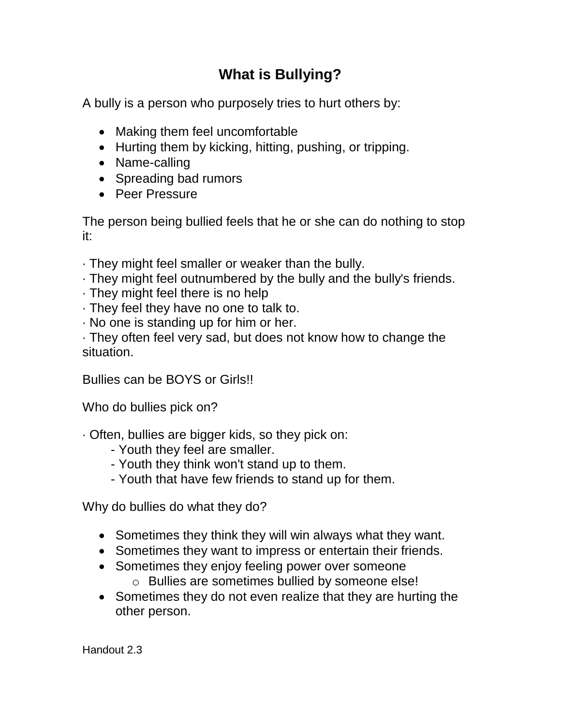# **What is Bullying?**

A bully is a person who purposely tries to hurt others by:

- Making them feel uncomfortable
- Hurting them by kicking, hitting, pushing, or tripping.
- Name-calling
- Spreading bad rumors
- **•** Peer Pressure

The person being bullied feels that he or she can do nothing to stop it:

- · They might feel smaller or weaker than the bully.
- · They might feel outnumbered by the bully and the bully's friends.
- · They might feel there is no help
- · They feel they have no one to talk to.
- · No one is standing up for him or her.

· They often feel very sad, but does not know how to change the situation.

Bullies can be BOYS or Girls!!

Who do bullies pick on?

- · Often, bullies are bigger kids, so they pick on:
	- Youth they feel are smaller.
	- Youth they think won't stand up to them.
	- Youth that have few friends to stand up for them.

Why do bullies do what they do?

- Sometimes they think they will win always what they want.
- Sometimes they want to impress or entertain their friends.
- Sometimes they enjoy feeling power over someone
	- o Bullies are sometimes bullied by someone else!
- Sometimes they do not even realize that they are hurting the other person.

Handout 2.3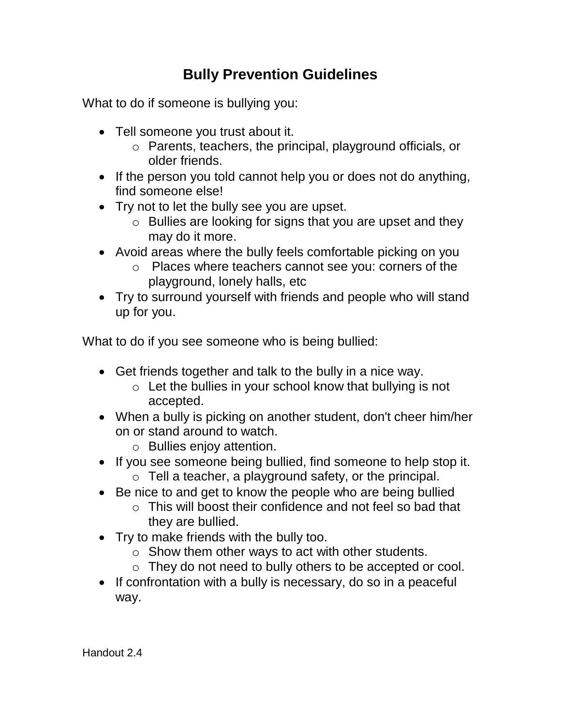# **Bully Prevention Guidelines**

What to do if someone is bullying you:

- Tell someone you trust about it.
	- o Parents, teachers, the principal, playground officials, or older friends.
- If the person you told cannot help you or does not do anything, find someone else!
- Try not to let the bully see you are upset.
	- o Bullies are looking for signs that you are upset and they may do it more.
- Avoid areas where the bully feels comfortable picking on you
	- o Places where teachers cannot see you: corners of the playground, lonely halls, etc
- Try to surround yourself with friends and people who will stand up for you.

What to do if you see someone who is being bullied:

- Get friends together and talk to the bully in a nice way.
	- $\circ$  Let the bullies in your school know that bullying is not accepted.
- When a bully is picking on another student, don't cheer him/her on or stand around to watch.
	- o Bullies enjoy attention.
- If you see someone being bullied, find someone to help stop it.
	- o Tell a teacher, a playground safety, or the principal.
- Be nice to and get to know the people who are being bullied
	- o This will boost their confidence and not feel so bad that they are bullied.
- Try to make friends with the bully too.
	- $\circ$  Show them other ways to act with other students.
	- o They do not need to bully others to be accepted or cool.
- If confrontation with a bully is necessary, do so in a peaceful way.

Handout 2.4